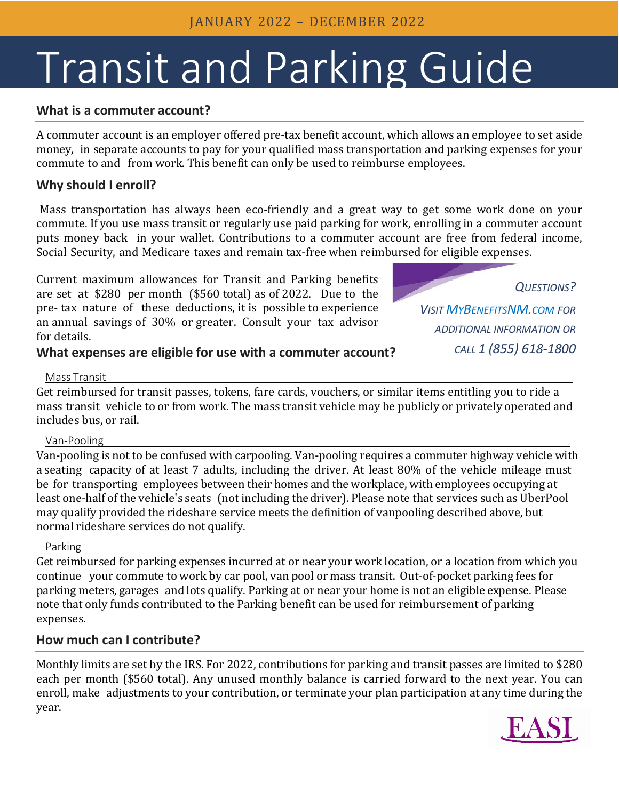# Transit and Parking Guide

#### **What is a commuter account?**

A commuter account is an employer offered pre-tax benefit account, which allows an employee to set aside money, in separate accounts to pay for your qualified mass transportation and parking expenses for your commute to and from work. This benefit can only be used to reimburse employees.

#### **Why should I enroll?**

Mass transportation has always been eco-friendly and a great way to get some work done on your commute. If you use mass transit or regularly use paid parking for work, enrolling in a commuter account puts money back in your wallet. Contributions to a commuter account are free from federal income, Social Security, and Medicare taxes and remain tax-free when reimbursed for eligible expenses.

Current maximum allowances for Transit and Parking benefits are set at \$280 per month (\$560 total) as of 2022. Due to the pre- tax nature of these deductions, it is possible to experience an annual savings of 30% or greater. Consult your tax advisor for details.



#### **What expenses are eligible for use with a commuter account?**

#### Mass Transit

Get reimbursed for transit passes, tokens, fare cards, vouchers, or similar items entitling you to ride a mass transit vehicle to or from work. The mass transit vehicle may be publicly or privately operated and includes bus, or rail.

#### Van-Pooling

Van-pooling is not to be confused with carpooling. Van-pooling requires a commuter highway vehicle with a seating capacity of at least 7 adults, including the driver. At least 80% of the vehicle mileage must be for transporting employees between their homes and the workplace, with employees occupying at least one-half of the vehicle's seats (not including thedriver). Please note that services such as UberPool may qualify provided the rideshare service meets the definition of vanpooling described above, but normal rideshare services do not qualify.

#### Parking

Get reimbursed for parking expenses incurred at or near your work location, or a location from which you continue your commute to work by car pool, van pool or mass transit. Out-of-pocket parking fees for parking meters, garages and lots qualify. Parking at or near your home is not an eligible expense. Please note that only funds contributed to the Parking benefit can be used for reimbursement of parking expenses.

### **How much can I contribute?**

Monthly limits are set by the IRS. For 2022, contributions for parking and transit passes are limited to \$280 each per month (\$560 total). Any unused monthly balance is carried forward to the next year. You can enroll, make adjustments to your contribution, or terminate your plan participation at any time during the year.